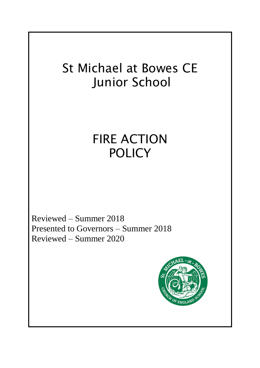